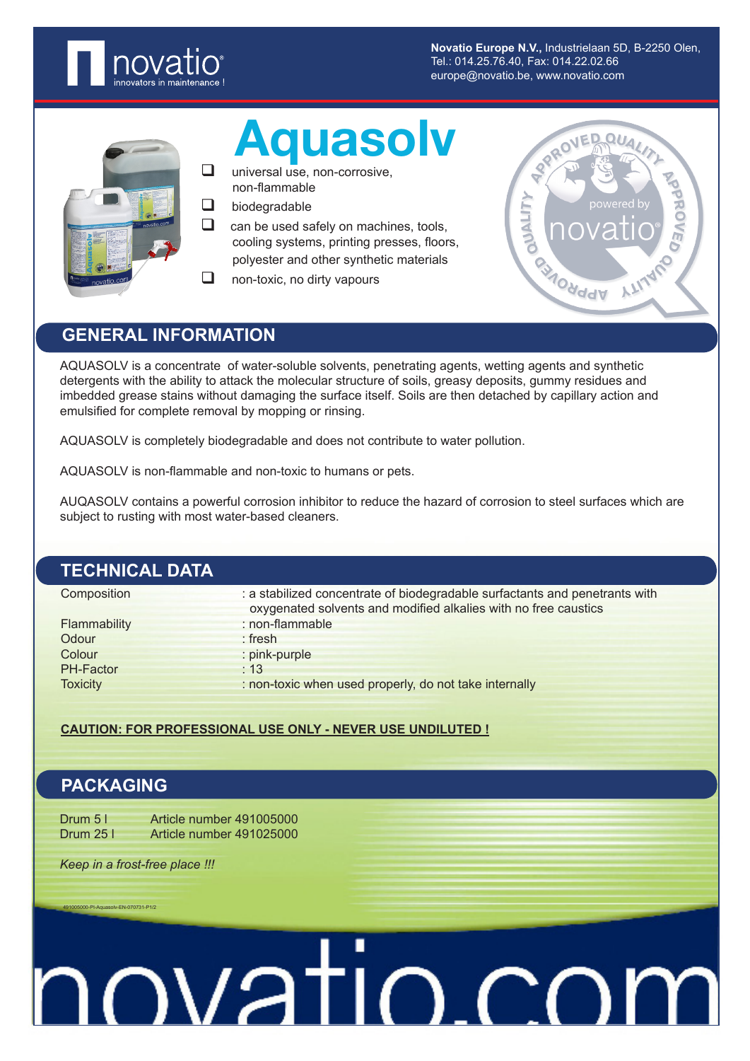

**Novatio Europe N.V.,** Industrielaan 5D, B-2250 Olen, Tel.: 014.25.76.40, Fax: 014.22.02.66 europe@novatio.be, www.novatio.com



### Aquasolv

 universal use, non-corrosive, non-flammable

- $\Box$  biodegradable
- $\Box$  can be used safely on machines, tools, cooling systems, printing presses, floors, polyester and other synthetic materials
- $\Box$  non-toxic, no dirty vapours



#### **GENERAL INFORMATION**

AQUASOLV is a concentrate of water-soluble solvents, penetrating agents, wetting agents and synthetic detergents with the ability to attack the molecular structure of soils, greasy deposits, gummy residues and imbedded grease stains without damaging the surface itself. Soils are then detached by capillary action and emulsified for complete removal by mopping or rinsing.

AQUASOLV is completely biodegradable and does not contribute to water pollution.

AQUASOLV is non-flammable and non-toxic to humans or pets.

AUQASOLV contains a powerful corrosion inhibitor to reduce the hazard of corrosion to steel surfaces which are subject to rusting with most water-based cleaners.

#### **TECHNICAL DATA**

| Composition     | : a stabilized concentrate of biodegradable surfactants and penetrants with |
|-----------------|-----------------------------------------------------------------------------|
|                 | oxygenated solvents and modified alkalies with no free caustics             |
| Flammability    | : non-flammable                                                             |
| Odour           | $:$ fresh                                                                   |
| Colour          | : pink-purple                                                               |
| PH-Factor       | :13                                                                         |
| <b>Toxicity</b> | : non-toxic when used properly, do not take internally                      |

#### **CAUTION: FOR PROFESSIONAL USE ONLY - NEVER USE UNDILUTED !**

#### **PACKAGING**

Drum 5 l Article number 491005000 Drum 25 l Article number 491025000

*Keep in a frost-free place !!!*

491005000-PI-Aquasolv-EN-070731-P1/2

# novatio.com